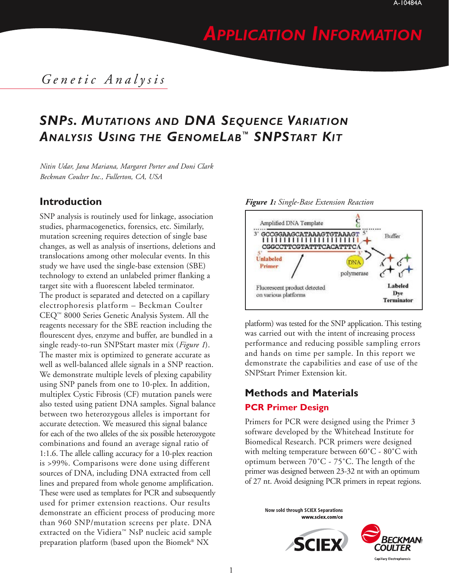# *APPLICATION INFORMATION*

### *Genetic Analysis*

## *SNPS. MUTATIONS AND DNA SEQUENCE VARIATION ANALYSIS USING THE GENOMELAB™ SNPSTART KIT*

*Nitin Udar, Jana Mariana, Margaret Porter and Doni Clark Beckman Coulter Inc., Fullerton, CA, USA*

#### **Introduction**

SNP analysis is routinely used for linkage, association studies, pharmacogenetics, forensics, etc. Similarly, mutation screening requires detection of single base changes, as well as analysis of insertions, deletions and translocations among other molecular events. In this study we have used the single-base extension (SBE) technology to extend an unlabeled primer flanking a target site with a fluorescent labeled terminator. The product is separated and detected on a capillary electrophoresis platform – Beckman Coulter CEQ™ 8000 Series Genetic Analysis System. All the reagents necessary for the SBE reaction including the flourescent dyes, enzyme and buffer, are bundled in a single ready-to-run SNPStart master mix (*Figure 1*). The master mix is optimized to generate accurate as well as well-balanced allele signals in a SNP reaction. We demonstrate multiple levels of plexing capability using SNP panels from one to 10-plex. In addition, multiplex Cystic Fibrosis (CF) mutation panels were also tested using patient DNA samples. Signal balance between two heterozygous alleles is important for accurate detection. We measured this signal balance for each of the two alleles of the six possible heterozygote combinations and found an average signal ratio of 1:1.6. The allele calling accuracy for a 10-plex reaction is >99%. Comparisons were done using different sources of DNA, including DNA extracted from cell lines and prepared from whole genome amplification. These were used as templates for PCR and subsequently used for primer extension reactions. Our results demonstrate an efficient process of producing more than 960 SNP/mutation screens per plate. DNA extracted on the Vidiera™ NsP nucleic acid sample preparation platform (based upon the Biomek® NX



platform) was tested for the SNP application. This testing was carried out with the intent of increasing process performance and reducing possible sampling errors and hands on time per sample. In this report we demonstrate the capabilities and ease of use of the SNPStart Primer Extension kit.

## **Methods and Materials**

### **PCR Primer Design**

Primers for PCR were designed using the Primer 3 software developed by the Whitehead Institute for Biomedical Research. PCR primers were designed with melting temperature between  $60^{\circ}$ C -  $80^{\circ}$ C with optimum between 70˚C - 75˚C. The length of the primer was designed between 23-32 nt with an optimum of 27 nt. Avoid designing PCR primers in repeat regions.

> Now sold through SCIEX Separations www.sciex.com/ce



1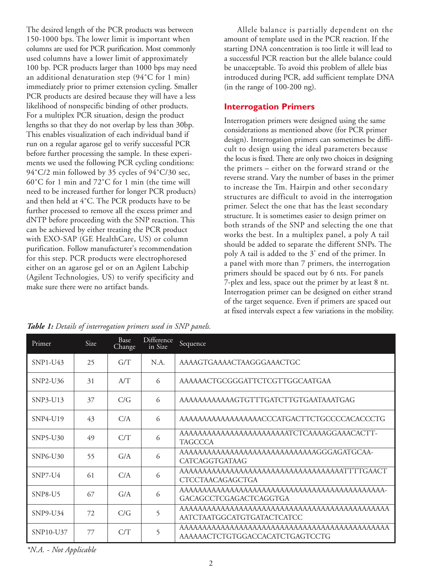The desired length of the PCR products was between 150-1000 bps. The lower limit is important when columns are used for PCR purification. Most commonly used columns have a lower limit of approximately 100 bp. PCR products larger than 1000 bps may need an additional denaturation step (94˚C for 1 min) immediately prior to primer extension cycling. Smaller PCR products are desired because they will have a less likelihood of nonspecific binding of other products. For a multiplex PCR situation, design the product lengths so that they do not overlap by less than 30bp. This enables visualization of each individual band if run on a regular agarose gel to verify successful PCR before further processing the sample. In these experiments we used the following PCR cycling conditions: 94°C/2 min followed by 35 cycles of 94°C/30 sec, 60˚C for 1 min and 72˚C for 1 min (the time will need to be increased further for longer PCR products) and then held at 4˚C. The PCR products have to be further processed to remove all the excess primer and dNTP before proceeding with the SNP reaction. This can be achieved by either treating the PCR product with EXO-SAP (GE HealthCare, US) or column purification. Follow manufacturer's recommendation for this step. PCR products were electrophoresed either on an agarose gel or on an Agilent Labchip (Agilent Technologies, US) to verify specificity and make sure there were no artifact bands.

Allele balance is partially dependent on the amount of template used in the PCR reaction. If the starting DNA concentration is too little it will lead to a successful PCR reaction but the allele balance could be unacceptable. To avoid this problem of allele bias introduced during PCR, add sufficient template DNA (in the range of 100-200 ng).

#### **Interrogation Primers**

Interrogation primers were designed using the same considerations as mentioned above (for PCR primer design). Interrogation primers can sometimes be difficult to design using the ideal parameters because the locus is fixed. There are only two choices in designing the primers – either on the forward strand or the reverse strand. Vary the number of bases in the primer to increase the Tm. Hairpin and other secondary structures are difficult to avoid in the interrogation primer. Select the one that has the least secondary structure. It is sometimes easier to design primer on both strands of the SNP and selecting the one that works the best. In a multiplex panel, a poly A tail should be added to separate the different SNPs. The poly A tail is added to the 3' end of the primer. In a panel with more than 7 primers, the interrogation primers should be spaced out by 6 nts. For panels 7-plex and less, space out the primer by at least 8 nt. Interrogation primer can be designed on either strand of the target sequence. Even if primers are spaced out at fixed intervals expect a few variations in the mobility.

| Primer     | Size | Base<br>Change | <b>Difference</b><br>in Size | Sequence                                                                |  |
|------------|------|----------------|------------------------------|-------------------------------------------------------------------------|--|
| $SNP1-U43$ | 25   | G/T            | N.A.                         | AAAAGTGAAAACTAAGGGAAACTGC                                               |  |
| SNP2-U36   | 31   | A/T            | 6                            | AAAAAACTGCGGGATTCTCGTTGGCAATGAA                                         |  |
| SNP3-U13   | 37   | C/G            | 6                            | AAAAAAAAAAAAGTGTTTGATCTTGTGAATAAATGAG                                   |  |
| $SNP4-U19$ | 43   | C/A            | 6                            | AAAAAAAAAAAAAAAAAACCCATGACTTCTGCCCCCACACCCTG                            |  |
| SNP5-U30   | 49   | C/T            | 6                            | AAAAAAAAAAAAAAAAAAAAAAATCTCAAAAGGAAACACTT-<br><b>TAGCCCA</b>            |  |
| SNP6-U30   | 55   | G/A            | 6                            | AAAAAAAAAAAAAAAAAAAAAAAAAAAAAAGGGAGATGCAA-<br><b>CATCAGGTGATAAG</b>     |  |
| $SNP7-U4$  | 61   | C/A            | 6                            | AAAAAAAAAAAAAAAAAAAAAAAAAAAAAAAAAAATTTTGAACT<br><b>CTCCTAACAGAGCTGA</b> |  |
| $SNP8-U5$  | 67   | G/A            | 6                            | GACAGCCTCGAGACTCAGGTGA                                                  |  |
| $SNP9-U34$ | 72   | C/G            | 5                            | AATCTAATGGCATGTGATACTCATCC                                              |  |
| SNP10-U37  | 77   | C/T            | 5                            | AAAAAACTCTGTGGACCACATCTGAGTCCTG                                         |  |

*Table 1: Details of interrogation primers used in SNP panels.*

*\*N.A. - Not Applicable*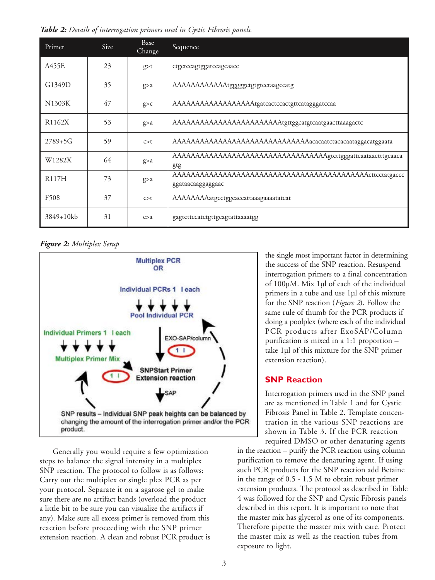*Table 2: Details of interrogation primers used in Cystic Fibrosis panels.*

| Primer              | <b>Size</b> | Base<br>Change | Sequence                                                              |
|---------------------|-------------|----------------|-----------------------------------------------------------------------|
| A455E               | 23          | $g$ >t         | ctgctccagtggatccagcaacc                                               |
| G1349D              | 35          | g>a            | AAAAAAAAAAAatgggggctgtgtcctaagccatg                                   |
| N1303K              | 47          | g > c          | AAAAAAAAAAAAAAAAAatgatcactccactgttcatagggatccaa                       |
| R <sub>1162</sub> X | 53          | g>a            | AAAAAAAAAAAAAAAAAAAAAAAatgttggcatgtcaatgaacttaaagactc                 |
| $2789 + 5G$         | 59          | c > t          | AAAAAAAAAAAAAAAAAAAAAAAAAAAAAAacacaatctacacaataggacatggaata           |
| W <sub>1282</sub> X | 64          | g>a            | AAAAAAAAAAAAAAAAAAAAAAAAAAAAAAAAAAagtcttgggattcaataactttgcaaca<br>gtg |
| R117H               | 73          | g>a            | ggataacaaggaggaac                                                     |
| F508                | 37          | c > t          | AAAAAAAAatgcctggcaccattaaagaaaatatcat                                 |
| 3849+10kb           | 31          | c > a          | gagtcttccatctgttgcagtattaaaatgg                                       |

*Figure 2: Multiplex Setup*



Generally you would require a few optimization steps to balance the signal intensity in a multiplex SNP reaction. The protocol to follow is as follows: Carry out the multiplex or single plex PCR as per your protocol. Separate it on a agarose gel to make sure there are no artifact bands (overload the product a little bit to be sure you can visualize the artifacts if any). Make sure all excess primer is removed from this reaction before proceeding with the SNP primer extension reaction. A clean and robust PCR product is the single most important factor in determining the success of the SNP reaction. Resuspend interrogation primers to a final concentration of 100µM. Mix 1µl of each of the individual primers in a tube and use 1µl of this mixture for the SNP reaction (*Figure 2*). Follow the same rule of thumb for the PCR products if doing a poolplex (where each of the individual PCR products after ExoSAP/Column purification is mixed in a 1:1 proportion – take 1µl of this mixture for the SNP primer extension reaction).

#### **SNP Reaction**

Interrogation primers used in the SNP panel are as mentioned in Table 1 and for Cystic Fibrosis Panel in Table 2. Template concentration in the various SNP reactions are shown in Table 3. If the PCR reaction required DMSO or other denaturing agents

in the reaction – purify the PCR reaction using column purification to remove the denaturing agent. If using such PCR products for the SNP reaction add Betaine in the range of 0.5 - 1.5 M to obtain robust primer extension products. The protocol as described in Table 4 was followed for the SNP and Cystic Fibrosis panels described in this report. It is important to note that the master mix has glycerol as one of its components. Therefore pipette the master mix with care. Protect the master mix as well as the reaction tubes from exposure to light.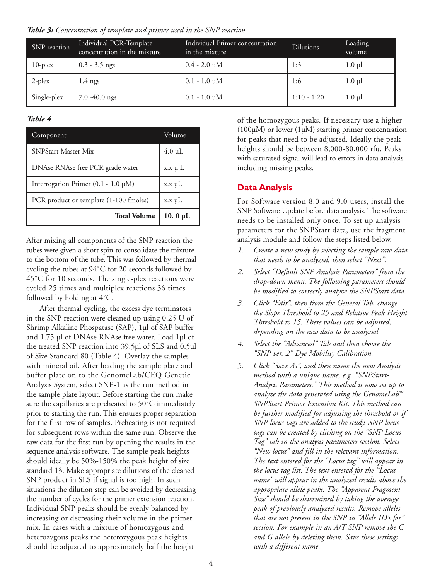*Table 3: Concentration of template and primer used in the SNP reaction.*

| SNP reaction | Individual PCR-Template<br>concentration in the mixture | Individual Primer concentration<br>in the mixture. | <b>Dilutions</b> | Loading<br>volume |
|--------------|---------------------------------------------------------|----------------------------------------------------|------------------|-------------------|
| $10$ -plex   | $0.3 - 3.5$ ngs                                         | $0.4 - 2.0 \mu M$                                  | 1:3              | $1.0 \mu$         |
| $2$ -plex    | $1.4$ ngs                                               | $0.1 - 1.0 \mu M$                                  | 1:6              | $1.0 \mu l$       |
| Single-plex  | $7.0 - 40.0$ ngs                                        | $0.1 - 1.0 \mu M$                                  | $1:10 - 1:20$    | $1.0 \mu$         |

#### *Table 4*

| Component                                | Volume        |  |
|------------------------------------------|---------------|--|
| <b>SNPStart Master Mix</b>               | $4.0 \mu L$   |  |
| DNAse RNAse free PCR grade water         | $x.x \mu L$   |  |
| Interrogation Primer $(0.1 - 1.0 \mu M)$ | $x.x \mu L$   |  |
| PCR product or template (1-100 fmoles)   | $x.x \mu L$   |  |
| <b>Total Volume</b>                      | 10. 0 $\mu$ L |  |

After mixing all components of the SNP reaction the tubes were given a short spin to consolidate the mixture to the bottom of the tube. This was followed by thermal cycling the tubes at 94˚C for 20 seconds followed by 45°C for 10 seconds. The single-plex reactions were cycled 25 times and multiplex reactions 36 times followed by holding at 4˚C.

After thermal cycling, the excess dye terminators in the SNP reaction were cleaned up using 0.25 U of Shrimp Alkaline Phospatase (SAP), 1µl of SAP buffer and 1.75 µl of DNAse RNAse free water. Load 1µl of the treated SNP reaction into 39.5µl of SLS and 0.5µl of Size Standard 80 (Table 4). Overlay the samples with mineral oil. After loading the sample plate and buffer plate on to the GenomeLab/CEQ Genetic Analysis System, select SNP-1 as the run method in the sample plate layout. Before starting the run make sure the capillaries are preheated to 50˚C immediately prior to starting the run. This ensures proper separation for the first row of samples. Preheating is not required for subsequent rows within the same run. Observe the raw data for the first run by opening the results in the sequence analysis software. The sample peak heights should ideally be 50%-150% the peak height of size standard 13. Make appropriate dilutions of the cleaned SNP product in SLS if signal is too high. In such situations the dilution step can be avoided by decreasing the number of cycles for the primer extension reaction. Individual SNP peaks should be evenly balanced by increasing or decreasing their volume in the primer mix. In cases with a mixture of homozygous and heterozygous peaks the heterozygous peak heights should be adjusted to approximately half the height

of the homozygous peaks. If necessary use a higher  $(100\mu)$  or lower  $(1\mu)$  starting primer concentration for peaks that need to be adjusted. Ideally the peak heights should be between 8,000-80,000 rfu. Peaks with saturated signal will lead to errors in data analysis including missing peaks.

#### **Data Analysis**

For Software version 8.0 and 9.0 users, install the SNP Software Update before data analysis. The software needs to be installed only once. To set up analysis parameters for the SNPStart data, use the fragment analysis module and follow the steps listed below.

- *1. Create a new study by selecting the sample raw data that needs to be analyzed, then select "Next".*
- *2. Select "Default SNP Analysis Parameters" from the drop-down menu. The following parameters should be modified to correctly analyze the SNPStart data.*
- *3. Click "Edit", then from the General Tab, change the Slope Threshold to 25 and Relative Peak Height Threshold to 15. These values can be adjusted, depending on the raw data to be analyzed.*
- *4. Select the "Advanced" Tab and then choose the "SNP ver. 2" Dye Mobility Calibration.*
- *5. Click "Save As", and then name the new Analysis method with a unique name, e.g. "SNPStart-Analysis Parameters." This method is now set up to analyze the data generated using the GenomeLab™ SNPStart Primer Extension Kit. This method can be further modified for adjusting the threshold or if SNP locus tags are added to the study. SNP locus tags can be created by clicking on the "SNP Locus Tag" tab in the analysis parameters section. Select "New locus" and fill in the relevant information. The text entered for the "Locus tag" will appear in the locus tag list. The text entered for the "Locus name" will appear in the analyzed results above the appropriate allele peaks. The "Apparent Fragment Size" should be determined by taking the average peak of previously analyzed results. Remove alleles that are not present in the SNP in "Allele ID's for" section. For example in an A/T SNP remove the C and G allele by deleting them. Save these settings with a different name.*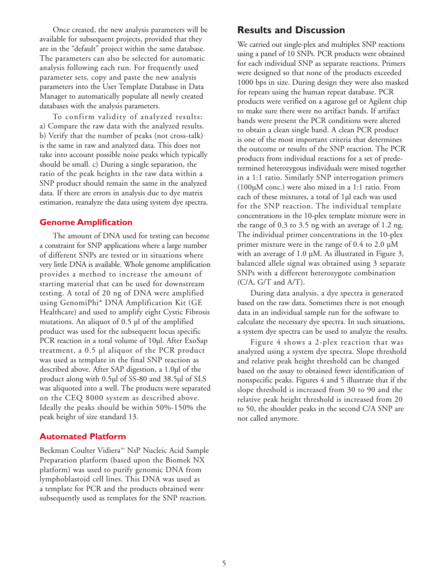Once created, the new analysis parameters will be available for subsequent projects, provided that they are in the "default" project within the same database. The parameters can also be selected for automatic analysis following each run. For frequently used parameter sets, copy and paste the new analysis parameters into the User Template Database in Data Manager to automatically populate all newly created databases with the analysis parameters.

To confirm validity of analyzed results: a) Compare the raw data with the analyzed results. b) Verify that the number of peaks (not cross-talk) is the same in raw and analyzed data. This does not take into account possible noise peaks which typically should be small. c) During a single separation, the ratio of the peak heights in the raw data within a SNP product should remain the same in the analyzed data. If there are errors in analysis due to dye matrix estimation, reanalyze the data using system dye spectra.

#### **Genome Amplification**

The amount of DNA used for testing can become a constraint for SNP applications where a large number of different SNPs are tested or in situations where very little DNA is available. Whole genome amplification provides a method to increase the amount of starting material that can be used for downstream testing. A total of 20 ng of DNA were amplified using GenomiPhi\* DNA Amplification Kit (GE Healthcare) and used to amplify eight Cystic Fibrosis mutations. An aliquot of 0.5 µl of the amplified product was used for the subsequent locus specific PCR reaction in a total volume of 10µl. After ExoSap treatment, a 0.5 µl aliquot of the PCR product was used as template in the final SNP reaction as described above. After SAP digestion, a 1.0µl of the product along with 0.5µl of SS-80 and 38.5µl of SLS was aliquoted into a well. The products were separated on the CEQ 8000 system as described above. Ideally the peaks should be within 50%-150% the peak height of size standard 13.

#### **Automated Platform**

Beckman Coulter Vidiera™ NsP Nucleic Acid Sample Preparation platform (based upon the Biomek NX platform) was used to purify genomic DNA from lymphoblastoid cell lines. This DNA was used as a template for PCR and the products obtained were subsequently used as templates for the SNP reaction.

#### **Results and Discussion**

We carried out single-plex and multiplex SNP reactions using a panel of 10 SNPs. PCR products were obtained for each individual SNP as separate reactions. Primers were designed so that none of the products exceeded 1000 bps in size. During design they were also masked for repeats using the human repeat database. PCR products were verified on a agarose gel or Agilent chip to make sure there were no artifact bands. If artifact bands were present the PCR conditions were altered to obtain a clean single band. A clean PCR product is one of the most important criteria that determines the outcome or results of the SNP reaction. The PCR products from individual reactions for a set of predetermined heterozygous individuals were mixed together in a 1:1 ratio. Similarly SNP interrogation primers (100µM conc.) were also mixed in a 1:1 ratio. From each of these mixtures, a total of 1µl each was used for the SNP reaction. The individual template concentrations in the 10-plex template mixture were in the range of 0.3 to 3.5 ng with an average of 1.2 ng. The individual primer concentrations in the 10-plex primer mixture were in the range of 0.4 to 2.0 µM with an average of 1.0 µM. As illustrated in Figure 3, balanced allele signal was obtained using 3 separate SNPs with a different heterozygote combination  $(C/A, G/T$  and  $A/T$ ).

During data analysis, a dye spectra is generated based on the raw data. Sometimes there is not enough data in an individual sample run for the software to calculate the necessary dye spectra. In such situations, a system dye spectra can be used to analyze the results.

Figure 4 shows a 2-plex reaction that was analyzed using a system dye spectra. Slope threshold and relative peak height threshold can be changed based on the assay to obtained fewer identification of nonspecific peaks. Figures 4 and 5 illustrate that if the slope threshold is increased from 30 to 90 and the relative peak height threshold is increased from 20 to 50, the shoulder peaks in the second C/A SNP are not called anymore.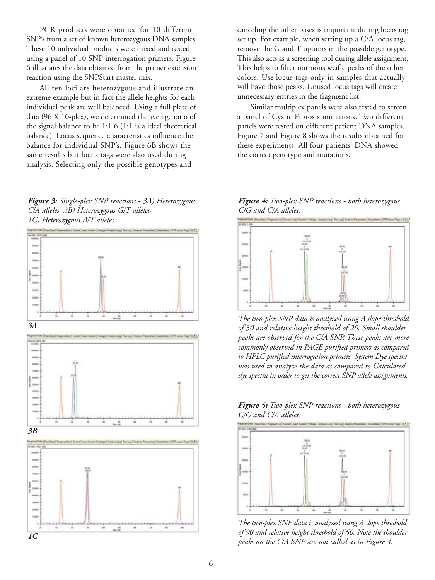PCR products were obtained for 10 different SNP's from a set of known heterozygous DNA samples. These 10 individual products were mixed and tested using a panel of 10 SNP interrogation primers. Figure 6 illustrates the data obtained from the primer extension reaction using the SNPStart master mix.

All ten loci are heterozygous and illustrate an extreme example but in fact the allele heights for each individual peak are well balanced. Using a full plate of data (96 X 10-plex), we determined the average ratio of the signal balance to be 1:1.6 (1:1 is a ideal theoretical balance). Locus sequence characteristics influence the balance for individual SNP's. Figure 6B shows the same results but locus tags were also used during analysis. Selecting only the possible genotypes and

#### *Figure 3: Single-plex SNP reactions - 3A) Heterozygous C/A alleles. 3B) Heterozygous G/T alleles-1C) Heterozygous A/T alleles.*



canceling the other bases is important during locus tag set up. For example, when setting up a C/A locus tag, remove the G and T options in the possible genotype. This also acts as a screening tool during allele assignment. This helps to filter out nonspecific peaks of the other colors. Use locus tags only in samples that actually will have those peaks. Unused locus tags will create unnecessary entries in the fragment list.

Similar multiplex panels were also tested to screen a panel of Cystic Fibrosis mutations. Two different panels were tested on different patient DNA samples. Figure 7 and Figure 8 shows the results obtained for these experiments. All four patients' DNA showed the correct genotype and mutations.

*Figure 4: Two-plex SNP reactions - both heterozygous C/G and C/A alleles.*



*The two-plex SNP data is analyzed using A slope threshold of 30 and relative height threshold of 20. Small shoulder peaks are observed for the C/A SNP. These peaks are more commonly observed in PAGE purified primers as compared to HPLC purified interrogation primers. System Dye spectra was used to analyze the data as compared to Calculated dye spectra in order to get the correct SNP allele assignments.*



*The two-plex SNP data is analyzed using A slope threshold of 90 and relative height threshold of 50. Note the shoulder peaks on the C/A SNP are not called as in Figure 4.*

*Figure 5: Two-plex SNP reactions - both heterozygous C/G and C/A alleles.*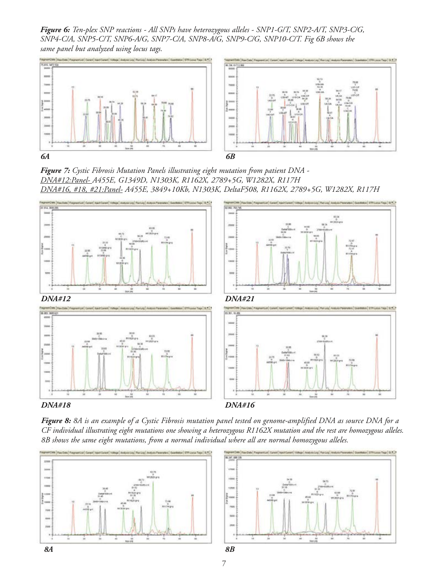*Figure 6: Ten-plex SNP reactions - All SNPs have heterozygous alleles - SNP1-G/T, SNP2-A/T, SNP3-C/G, SNP4-C/A, SNP5-C/T, SNP6-A/G, SNP7-C/A, SNP8-A/G, SNP9-C/G, SNP10-C/T. Fig 6B shows the same panel but analyzed using locus tags.*



*Figure 7: Cystic Fibrosis Mutation Panels illustrating eight mutation from patient DNA - DNA#12:Panel- A455E, G1349D, N1303K, R1162X, 2789+5G, W1282X, R117H DNA#16, #18, #21:Panel- A455E, 3849+10Kb, N1303K, DeltaF508, R1162X, 2789+5G, W1282X, R117H*





*Figure 8: 8A is an example of a Cystic Fibrosis mutation panel tested on genome-amplified DNA as source DNA for a CF individual illustrating eight mutations one showing a heterozygous R1162X mutation and the rest are homozygous alleles. 8B shows the same eight mutations, from a normal individual where all are normal homozygous alleles.*